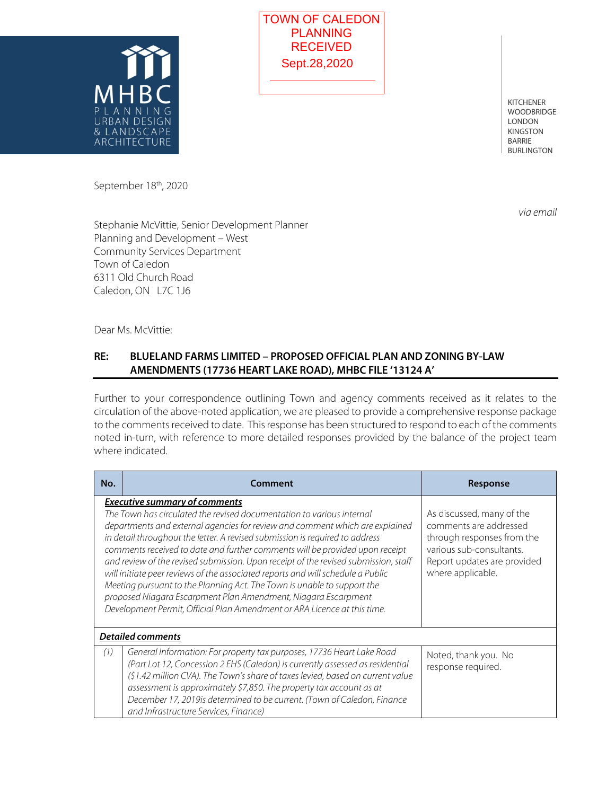



## **RE: BLUELAND FARMS LIMITED – PROPOSED OFFICIAL PLAN AND ZONING BY-LAW AMENDMENTS (17736 HEART LAKE ROAD), MHBC FILE '13124 A'**

|       |                                                                                                                                                                                                                   | TOWN OF CALEDON<br><b>PLANNING</b>                                                                                                                                                                                                                                                                                                                                                                                                                                                                                                                                                                                                                                                                                       |                                                                                                                                                                                                                                                                                                                                                                                                                             |
|-------|-------------------------------------------------------------------------------------------------------------------------------------------------------------------------------------------------------------------|--------------------------------------------------------------------------------------------------------------------------------------------------------------------------------------------------------------------------------------------------------------------------------------------------------------------------------------------------------------------------------------------------------------------------------------------------------------------------------------------------------------------------------------------------------------------------------------------------------------------------------------------------------------------------------------------------------------------------|-----------------------------------------------------------------------------------------------------------------------------------------------------------------------------------------------------------------------------------------------------------------------------------------------------------------------------------------------------------------------------------------------------------------------------|
|       |                                                                                                                                                                                                                   | <b>RECEIVED</b><br>Sept.28,2020                                                                                                                                                                                                                                                                                                                                                                                                                                                                                                                                                                                                                                                                                          |                                                                                                                                                                                                                                                                                                                                                                                                                             |
| JRRAN | MHB<br>$I$ ) $F$ SI(1 $N$<br>& LANDSCAPE<br>ARCHII ECTURE                                                                                                                                                         |                                                                                                                                                                                                                                                                                                                                                                                                                                                                                                                                                                                                                                                                                                                          | <b>KITCHENER</b><br><b>WOODBRIDGE</b><br><b>LONDON</b><br><b>KINGSTON</b><br><b>BARRIE</b><br><b>BURLINGTON</b>                                                                                                                                                                                                                                                                                                             |
|       | September 18 <sup>th</sup> , 2020                                                                                                                                                                                 |                                                                                                                                                                                                                                                                                                                                                                                                                                                                                                                                                                                                                                                                                                                          |                                                                                                                                                                                                                                                                                                                                                                                                                             |
| RE:   | Stephanie McVittie, Senior Development Planner<br>Planning and Development - West<br><b>Community Services Department</b><br>Town of Caledon<br>6311 Old Church Road<br>Caledon, ON L7C 1J6<br>Dear Ms. McVittie: | BLUELAND FARMS LIMITED - PROPOSED OFFICIAL PLAN AND ZONING BY-LAW                                                                                                                                                                                                                                                                                                                                                                                                                                                                                                                                                                                                                                                        |                                                                                                                                                                                                                                                                                                                                                                                                                             |
|       |                                                                                                                                                                                                                   | AMENDMENTS (17736 HEART LAKE ROAD), MHBC FILE '13124 A'                                                                                                                                                                                                                                                                                                                                                                                                                                                                                                                                                                                                                                                                  |                                                                                                                                                                                                                                                                                                                                                                                                                             |
|       | where indicated.                                                                                                                                                                                                  |                                                                                                                                                                                                                                                                                                                                                                                                                                                                                                                                                                                                                                                                                                                          | Further to your correspondence outlining Town and agency comments received as it relates to the<br>circulation of the above-noted application, we are pleased to provide a comprehensive response package<br>to the comments received to date. This response has been structured to respond to each of the comments<br>noted in-turn, with reference to more detailed responses provided by the balance of the project team |
| No.   |                                                                                                                                                                                                                   | Comment                                                                                                                                                                                                                                                                                                                                                                                                                                                                                                                                                                                                                                                                                                                  | Response                                                                                                                                                                                                                                                                                                                                                                                                                    |
|       | <b>Executive summary of comments</b>                                                                                                                                                                              | The Town has circulated the revised documentation to various internal<br>departments and external agencies for review and comment which are explained<br>in detail throughout the letter. A revised submission is required to address<br>comments received to date and further comments will be provided upon receipt<br>and review of the revised submission. Upon receipt of the revised submission, staff<br>will initiate peer reviews of the associated reports and will schedule a Public<br>Meeting pursuant to the Planning Act. The Town is unable to support the<br>proposed Niagara Escarpment Plan Amendment, Niagara Escarpment<br>Development Permit, Official Plan Amendment or ARA Licence at this time. | As discussed, many of the<br>comments are addressed<br>through responses from the<br>various sub-consultants.<br>Report updates are provided<br>where applicable.                                                                                                                                                                                                                                                           |
| (1)   | <b>Detailed comments</b>                                                                                                                                                                                          | General Information: For property tax purposes, 17736 Heart Lake Road                                                                                                                                                                                                                                                                                                                                                                                                                                                                                                                                                                                                                                                    |                                                                                                                                                                                                                                                                                                                                                                                                                             |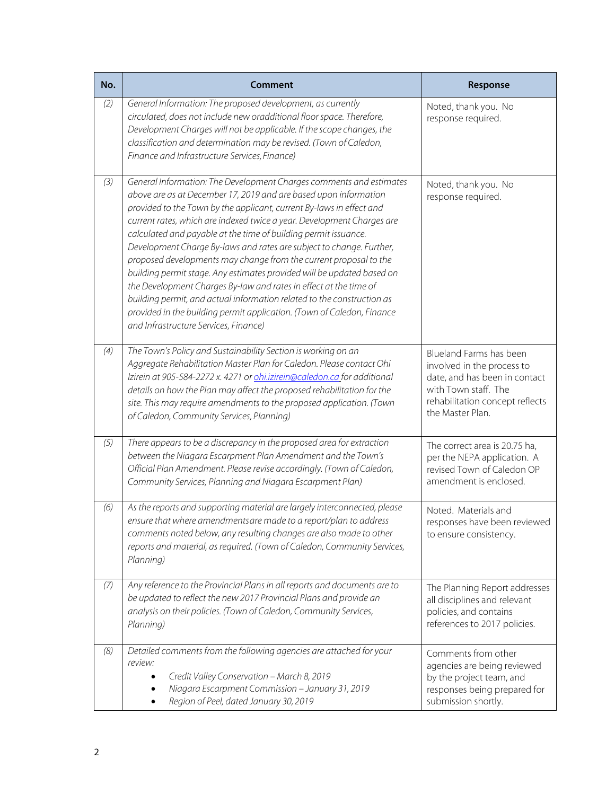| No. | <b>Comment</b>                                                                                                                                                                                                                                                                                                                                                                                                                                                                                                                                                                                                                                                                                                                                                                                                                                        | Response                                                                                                                                                              |
|-----|-------------------------------------------------------------------------------------------------------------------------------------------------------------------------------------------------------------------------------------------------------------------------------------------------------------------------------------------------------------------------------------------------------------------------------------------------------------------------------------------------------------------------------------------------------------------------------------------------------------------------------------------------------------------------------------------------------------------------------------------------------------------------------------------------------------------------------------------------------|-----------------------------------------------------------------------------------------------------------------------------------------------------------------------|
| (2) | General Information: The proposed development, as currently<br>circulated, does not include new oradditional floor space. Therefore,<br>Development Charges will not be applicable. If the scope changes, the<br>classification and determination may be revised. (Town of Caledon,<br>Finance and Infrastructure Services, Finance)                                                                                                                                                                                                                                                                                                                                                                                                                                                                                                                  | Noted, thank you. No<br>response required.                                                                                                                            |
| (3) | General Information: The Development Charges comments and estimates<br>above are as at December 17, 2019 and are based upon information<br>provided to the Town by the applicant, current By-laws in effect and<br>current rates, which are indexed twice a year. Development Charges are<br>calculated and payable at the time of building permit issuance.<br>Development Charge By-laws and rates are subject to change. Further,<br>proposed developments may change from the current proposal to the<br>building permit stage. Any estimates provided will be updated based on<br>the Development Charges By-law and rates in effect at the time of<br>building permit, and actual information related to the construction as<br>provided in the building permit application. (Town of Caledon, Finance<br>and Infrastructure Services, Finance) | Noted, thank you. No<br>response required.                                                                                                                            |
| (4) | The Town's Policy and Sustainability Section is working on an<br>Aggregate Rehabilitation Master Plan for Caledon. Please contact Ohi<br>lzirein at 905-584-2272 x. 4271 or ohi.izirein@caledon.ca for additional<br>details on how the Plan may affect the proposed rehabilitation for the<br>site. This may require amendments to the proposed application. (Town<br>of Caledon, Community Services, Planning)                                                                                                                                                                                                                                                                                                                                                                                                                                      | Blueland Farms has been<br>involved in the process to<br>date, and has been in contact<br>with Town staff. The<br>rehabilitation concept reflects<br>the Master Plan. |
| (5) | There appears to be a discrepancy in the proposed area for extraction<br>between the Niagara Escarpment Plan Amendment and the Town's<br>Official Plan Amendment. Please revise accordingly. (Town of Caledon,<br>Community Services, Planning and Niagara Escarpment Plan)                                                                                                                                                                                                                                                                                                                                                                                                                                                                                                                                                                           | The correct area is 20.75 ha,<br>per the NEPA application. A<br>revised Town of Caledon OP<br>amendment is enclosed.                                                  |
| (6) | As the reports and supporting material are largely interconnected, please<br>ensure that where amendmentsare made to a report/plan to address<br>comments noted below, any resulting changes are also made to other<br>reports and material, as required. (Town of Caledon, Community Services,<br>Planning)                                                                                                                                                                                                                                                                                                                                                                                                                                                                                                                                          | Noted. Materials and<br>responses have been reviewed<br>to ensure consistency.                                                                                        |
| (7) | Any reference to the Provincial Plans in all reports and documents are to<br>be updated to reflect the new 2017 Provincial Plans and provide an<br>analysis on their policies. (Town of Caledon, Community Services,<br>Planning)                                                                                                                                                                                                                                                                                                                                                                                                                                                                                                                                                                                                                     | The Planning Report addresses<br>all disciplines and relevant<br>policies, and contains<br>references to 2017 policies.                                               |
| (8) | Detailed comments from the following agencies are attached for your<br>review:<br>Credit Valley Conservation - March 8, 2019<br>Niagara Escarpment Commission - January 31, 2019<br>Region of Peel, dated January 30, 2019                                                                                                                                                                                                                                                                                                                                                                                                                                                                                                                                                                                                                            | Comments from other<br>agencies are being reviewed<br>by the project team, and<br>responses being prepared for<br>submission shortly.                                 |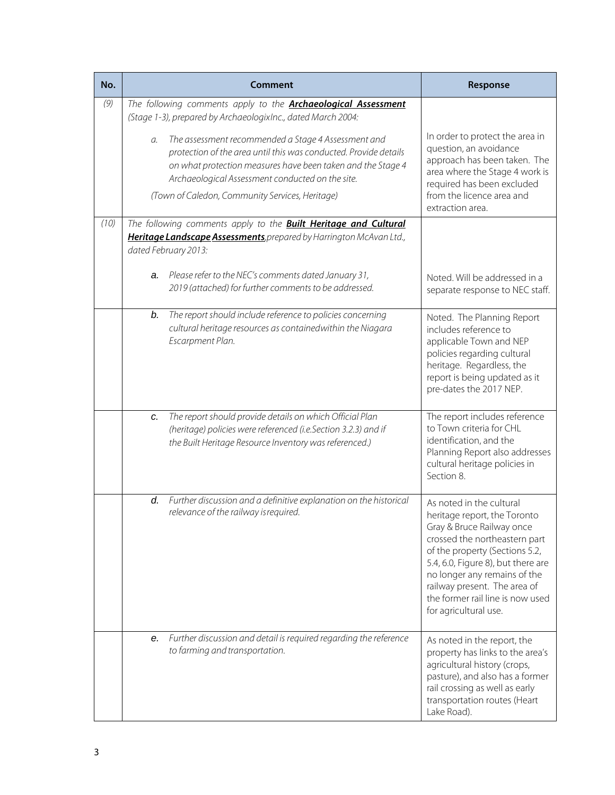| No.  | Comment                                                                                                                                                                                                                                                                                             | Response                                                                                                                                                                                                                                                                                                                    |
|------|-----------------------------------------------------------------------------------------------------------------------------------------------------------------------------------------------------------------------------------------------------------------------------------------------------|-----------------------------------------------------------------------------------------------------------------------------------------------------------------------------------------------------------------------------------------------------------------------------------------------------------------------------|
| (9)  | The following comments apply to the <b>Archaeological Assessment</b><br>(Stage 1-3), prepared by ArchaeologixInc., dated March 2004:                                                                                                                                                                |                                                                                                                                                                                                                                                                                                                             |
|      | The assessment recommended a Stage 4 Assessment and<br>a.<br>protection of the area until this was conducted. Provide details<br>on what protection measures have been taken and the Stage 4<br>Archaeological Assessment conducted on the site.<br>(Town of Caledon, Community Services, Heritage) | In order to protect the area in<br>question, an avoidance<br>approach has been taken. The<br>area where the Stage 4 work is<br>required has been excluded<br>from the licence area and<br>extraction area.                                                                                                                  |
| (10) | The following comments apply to the <b>Built Heritage and Cultural</b><br>Heritage Landscape Assessments, prepared by Harrington McAvan Ltd.,<br>dated February 2013:                                                                                                                               |                                                                                                                                                                                                                                                                                                                             |
|      | a. Please refer to the NEC's comments dated January 31,<br>2019 (attached) for further comments to be addressed.                                                                                                                                                                                    | Noted. Will be addressed in a<br>separate response to NEC staff.                                                                                                                                                                                                                                                            |
|      | The report should include reference to policies concerning<br>b.<br>cultural heritage resources as containedwithin the Niagara<br>Escarpment Plan.                                                                                                                                                  | Noted. The Planning Report<br>includes reference to<br>applicable Town and NEP<br>policies regarding cultural<br>heritage. Regardless, the<br>report is being updated as it<br>pre-dates the 2017 NEP.                                                                                                                      |
|      | The report should provide details on which Official Plan<br>c.<br>(heritage) policies were referenced (i.e.Section 3.2.3) and if<br>the Built Heritage Resource Inventory was referenced.)                                                                                                          | The report includes reference<br>to Town criteria for CHL<br>identification, and the<br>Planning Report also addresses<br>cultural heritage policies in<br>Section 8.                                                                                                                                                       |
|      | Further discussion and a definitive explanation on the historical<br>d.<br>relevance of the railway is required.                                                                                                                                                                                    | As noted in the cultural<br>heritage report, the Toronto<br>Gray & Bruce Railway once<br>crossed the northeastern part<br>of the property (Sections 5.2,<br>5.4, 6.0, Figure 8), but there are<br>no longer any remains of the<br>railway present. The area of<br>the former rail line is now used<br>for agricultural use. |
|      | Further discussion and detail is required regarding the reference<br>е.<br>to farming and transportation.                                                                                                                                                                                           | As noted in the report, the<br>property has links to the area's<br>agricultural history (crops,<br>pasture), and also has a former<br>rail crossing as well as early<br>transportation routes (Heart<br>Lake Road).                                                                                                         |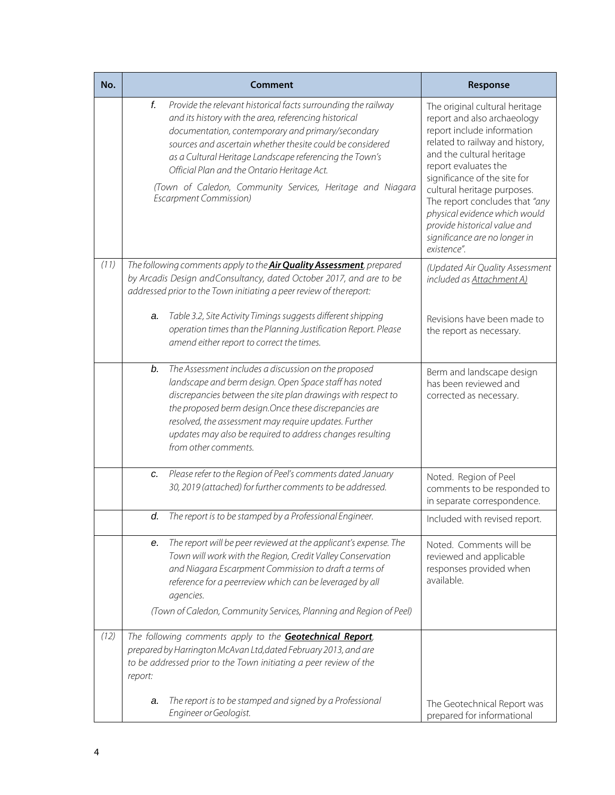| No.  |         | <b>Comment</b>                                                                                                                                                                                                                                                                                                                                                                                                                                    | Response                                                                                                                                                                                                                                                                                                                                                                                              |
|------|---------|---------------------------------------------------------------------------------------------------------------------------------------------------------------------------------------------------------------------------------------------------------------------------------------------------------------------------------------------------------------------------------------------------------------------------------------------------|-------------------------------------------------------------------------------------------------------------------------------------------------------------------------------------------------------------------------------------------------------------------------------------------------------------------------------------------------------------------------------------------------------|
|      | f.      | Provide the relevant historical facts surrounding the railway<br>and its history with the area, referencing historical<br>documentation, contemporary and primary/secondary<br>sources and ascertain whether thesite could be considered<br>as a Cultural Heritage Landscape referencing the Town's<br>Official Plan and the Ontario Heritage Act.<br>(Town of Caledon, Community Services, Heritage and Niagara<br><b>Escarpment Commission)</b> | The original cultural heritage<br>report and also archaeology<br>report include information<br>related to railway and history,<br>and the cultural heritage<br>report evaluates the<br>significance of the site for<br>cultural heritage purposes.<br>The report concludes that "any<br>physical evidence which would<br>provide historical value and<br>significance are no longer in<br>existence". |
| (11) |         | The following comments apply to the <b>Air Quality Assessment</b> , prepared<br>by Arcadis Design and Consultancy, dated October 2017, and are to be<br>addressed prior to the Town initiating a peer review of the report:                                                                                                                                                                                                                       | (Updated Air Quality Assessment<br>included as Attachment A)                                                                                                                                                                                                                                                                                                                                          |
|      | a.      | Table 3.2, Site Activity Timings suggests different shipping<br>operation times than the Planning Justification Report. Please<br>amend either report to correct the times.                                                                                                                                                                                                                                                                       | Revisions have been made to<br>the report as necessary.                                                                                                                                                                                                                                                                                                                                               |
|      | b.      | The Assessment includes a discussion on the proposed<br>landscape and berm design. Open Space staff has noted<br>discrepancies between the site plan drawings with respect to<br>the proposed berm design. Once these discrepancies are<br>resolved, the assessment may require updates. Further<br>updates may also be required to address changes resulting<br>from other comments.                                                             | Berm and landscape design<br>has been reviewed and<br>corrected as necessary.                                                                                                                                                                                                                                                                                                                         |
|      | c.      | Please refer to the Region of Peel's comments dated January<br>30, 2019 (attached) for further comments to be addressed.                                                                                                                                                                                                                                                                                                                          | Noted. Region of Peel<br>comments to be responded to<br>in separate correspondence.                                                                                                                                                                                                                                                                                                                   |
|      | d.      | The report is to be stamped by a Professional Engineer.                                                                                                                                                                                                                                                                                                                                                                                           | Included with revised report.                                                                                                                                                                                                                                                                                                                                                                         |
|      | е.      | The report will be peer reviewed at the applicant's expense. The<br>Town will work with the Region, Credit Valley Conservation<br>and Niagara Escarpment Commission to draft a terms of<br>reference for a peerreview which can be leveraged by all<br>agencies.<br>(Town of Caledon, Community Services, Planning and Region of Peel)                                                                                                            | Noted. Comments will be<br>reviewed and applicable<br>responses provided when<br>available.                                                                                                                                                                                                                                                                                                           |
| (12) |         | The following comments apply to the Geotechnical Report,                                                                                                                                                                                                                                                                                                                                                                                          |                                                                                                                                                                                                                                                                                                                                                                                                       |
|      | report: | prepared by Harrington McAvan Ltd, dated February 2013, and are<br>to be addressed prior to the Town initiating a peer review of the                                                                                                                                                                                                                                                                                                              |                                                                                                                                                                                                                                                                                                                                                                                                       |
|      | а.      | The report is to be stamped and signed by a Professional<br>Engineer or Geologist.                                                                                                                                                                                                                                                                                                                                                                | The Geotechnical Report was<br>prepared for informational                                                                                                                                                                                                                                                                                                                                             |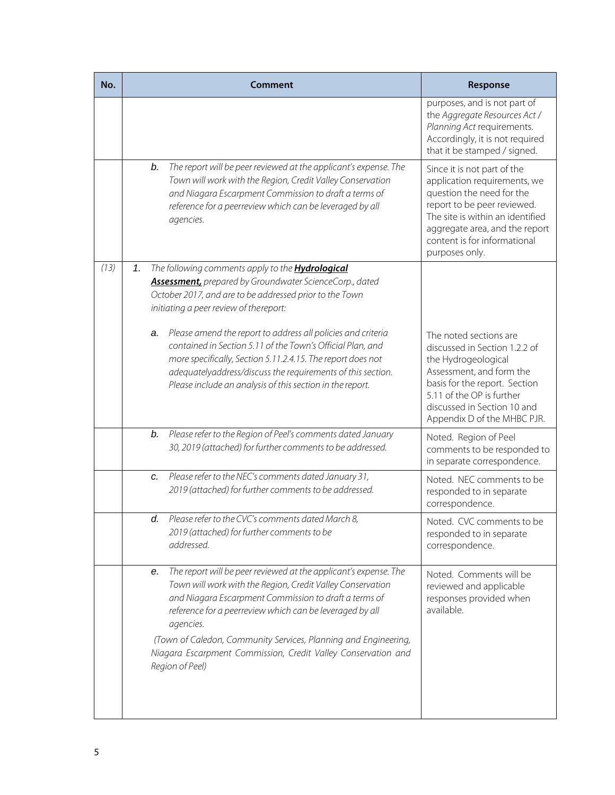| No.  |    | <b>Comment</b>                                                                                                                                                                                                                                                                                                        | Response                                                                                                                                                                                                                                        |
|------|----|-----------------------------------------------------------------------------------------------------------------------------------------------------------------------------------------------------------------------------------------------------------------------------------------------------------------------|-------------------------------------------------------------------------------------------------------------------------------------------------------------------------------------------------------------------------------------------------|
|      |    |                                                                                                                                                                                                                                                                                                                       | purposes, and is not part of<br>the Aggregate Resources Act /<br>Planning Act requirements.<br>Accordingly, it is not required<br>that it be stamped / signed.                                                                                  |
|      | b. | The report will be peer reviewed at the applicant's expense. The<br>Town will work with the Region, Credit Valley Conservation<br>and Niagara Escarpment Commission to draft a terms of<br>reference for a peerreview which can be leveraged by all<br>agencies.                                                      | Since it is not part of the<br>application requirements, we<br>question the need for the<br>report to be peer reviewed.<br>The site is within an identified<br>aggregate area, and the report<br>content is for informational<br>purposes only. |
| (13) | 1. | The following comments apply to the <b>Hydrological</b><br>Assessment, prepared by Groundwater ScienceCorp., dated<br>October 2017, and are to be addressed prior to the Town<br>initiating a peer review of thereport:                                                                                               |                                                                                                                                                                                                                                                 |
|      | a. | Please amend the report to address all policies and criteria<br>contained in Section 5.11 of the Town's Official Plan, and<br>more specifically, Section 5.11.2.4.15. The report does not<br>adequatelyaddress/discuss the requirements of this section.<br>Please include an analysis of this section in the report. | The noted sections are<br>discussed in Section 1.2.2 of<br>the Hydrogeological<br>Assessment, and form the<br>basis for the report. Section<br>5.11 of the OP is further<br>discussed in Section 10 and<br>Appendix D of the MHBC PJR.          |
|      | b. | Please refer to the Region of Peel's comments dated January<br>30, 2019 (attached) for further comments to be addressed.                                                                                                                                                                                              | Noted. Region of Peel<br>comments to be responded to<br>in separate correspondence.                                                                                                                                                             |
|      | c. | Please refer to the NEC's comments dated January 31,<br>2019 (attached) for further comments to be addressed.                                                                                                                                                                                                         | Noted. NEC comments to be<br>responded to in separate<br>correspondence.                                                                                                                                                                        |
|      | d. | Please refer to the CVC's comments dated March 8.<br>2019 (attached) for further comments to be<br>addressed.                                                                                                                                                                                                         | Noted. CVC comments to be<br>responded to in separate<br>correspondence.                                                                                                                                                                        |
|      | е. | The report will be peer reviewed at the applicant's expense. The<br>Town will work with the Region, Credit Valley Conservation<br>and Niagara Escarpment Commission to draft a terms of<br>reference for a peerreview which can be leveraged by all<br>agencies.                                                      | Noted. Comments will be<br>reviewed and applicable<br>responses provided when<br>available.                                                                                                                                                     |
|      |    | (Town of Caledon, Community Services, Planning and Engineering,<br>Niagara Escarpment Commission, Credit Valley Conservation and<br>Region of Peel)                                                                                                                                                                   |                                                                                                                                                                                                                                                 |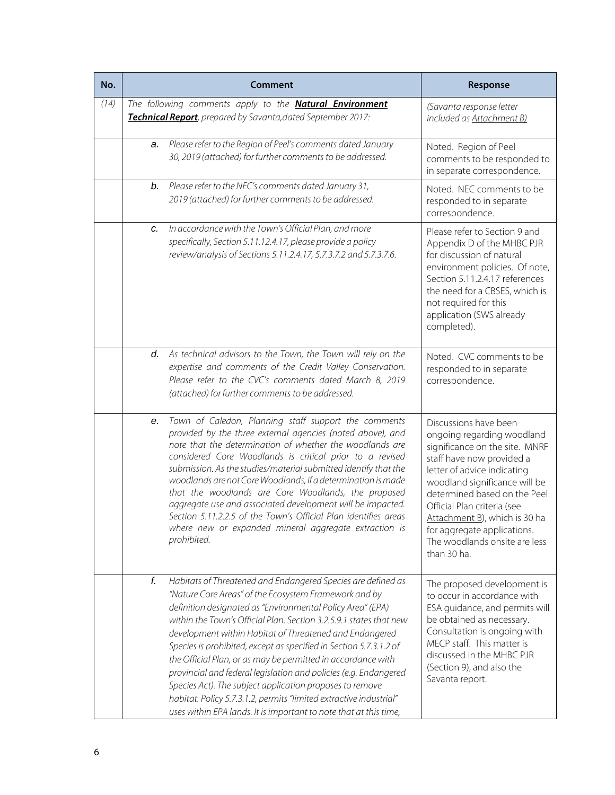| No.  | <b>Comment</b> |                                                                                                                                                                                                                                                                                                                                                                                                                                                                                                                                                                                                                                                                                                                                       | Response                                                                                                                                                                                                                                                                                                                                                          |
|------|----------------|---------------------------------------------------------------------------------------------------------------------------------------------------------------------------------------------------------------------------------------------------------------------------------------------------------------------------------------------------------------------------------------------------------------------------------------------------------------------------------------------------------------------------------------------------------------------------------------------------------------------------------------------------------------------------------------------------------------------------------------|-------------------------------------------------------------------------------------------------------------------------------------------------------------------------------------------------------------------------------------------------------------------------------------------------------------------------------------------------------------------|
| (14) |                | The following comments apply to the <b>Natural Environment</b><br>Technical Report, prepared by Savanta, dated September 2017:                                                                                                                                                                                                                                                                                                                                                                                                                                                                                                                                                                                                        | (Savanta response letter<br>included as Attachment B)                                                                                                                                                                                                                                                                                                             |
|      | a.             | Please refer to the Region of Peel's comments dated January<br>30, 2019 (attached) for further comments to be addressed.                                                                                                                                                                                                                                                                                                                                                                                                                                                                                                                                                                                                              | Noted. Region of Peel<br>comments to be responded to<br>in separate correspondence.                                                                                                                                                                                                                                                                               |
|      | b.             | Please refer to the NEC's comments dated January 31,<br>2019 (attached) for further comments to be addressed.                                                                                                                                                                                                                                                                                                                                                                                                                                                                                                                                                                                                                         | Noted. NEC comments to be<br>responded to in separate<br>correspondence.                                                                                                                                                                                                                                                                                          |
|      | c.             | In accordance with the Town's Official Plan, and more<br>specifically, Section 5.11.12.4.17, please provide a policy<br>review/analysis of Sections 5.11.2.4.17, 5.7.3.7.2 and 5.7.3.7.6.                                                                                                                                                                                                                                                                                                                                                                                                                                                                                                                                             | Please refer to Section 9 and<br>Appendix D of the MHBC PJR<br>for discussion of natural<br>environment policies. Of note,<br>Section 5.11.2.4.17 references<br>the need for a CBSES, which is<br>not required for this<br>application (SWS already<br>completed).                                                                                                |
|      | d.             | As technical advisors to the Town, the Town will rely on the<br>expertise and comments of the Credit Valley Conservation.<br>Please refer to the CVC's comments dated March 8, 2019<br>(attached) for further comments to be addressed.                                                                                                                                                                                                                                                                                                                                                                                                                                                                                               | Noted. CVC comments to be<br>responded to in separate<br>correspondence.                                                                                                                                                                                                                                                                                          |
|      | е.             | Town of Caledon, Planning staff support the comments<br>provided by the three external agencies (noted above), and<br>note that the determination of whether the woodlands are<br>considered Core Woodlands is critical prior to a revised<br>submission. As the studies/material submitted identify that the<br>woodlands are not Core Woodlands, if a determination is made<br>that the woodlands are Core Woodlands, the proposed<br>aggregate use and associated development will be impacted.<br>Section 5.11.2.2.5 of the Town's Official Plan identifies areas<br>where new or expanded mineral aggregate extraction is<br>prohibited.                                                                                         | Discussions have been<br>ongoing regarding woodland<br>significance on the site. MNRF<br>staff have now provided a<br>letter of advice indicating<br>woodland significance will be<br>determined based on the Peel<br>Official Plan criteria (see<br>Attachment B), which is 30 ha<br>for aggregate applications.<br>The woodlands onsite are less<br>than 30 ha. |
|      | f.             | Habitats of Threatened and Endangered Species are defined as<br>"Nature Core Areas" of the Ecosystem Framework and by<br>definition designated as "Environmental Policy Area" (EPA)<br>within the Town's Official Plan. Section 3.2.5.9.1 states that new<br>development within Habitat of Threatened and Endangered<br>Species is prohibited, except as specified in Section 5.7.3.1.2 of<br>the Official Plan, or as may be permitted in accordance with<br>provincial and federal legislation and policies (e.g. Endangered<br>Species Act). The subject application proposes to remove<br>habitat. Policy 5.7.3.1.2, permits "limited extractive industrial"<br>uses within EPA lands. It is important to note that at this time, | The proposed development is<br>to occur in accordance with<br>ESA guidance, and permits will<br>be obtained as necessary.<br>Consultation is ongoing with<br>MECP staff. This matter is<br>discussed in the MHBC PJR<br>(Section 9), and also the<br>Savanta report.                                                                                              |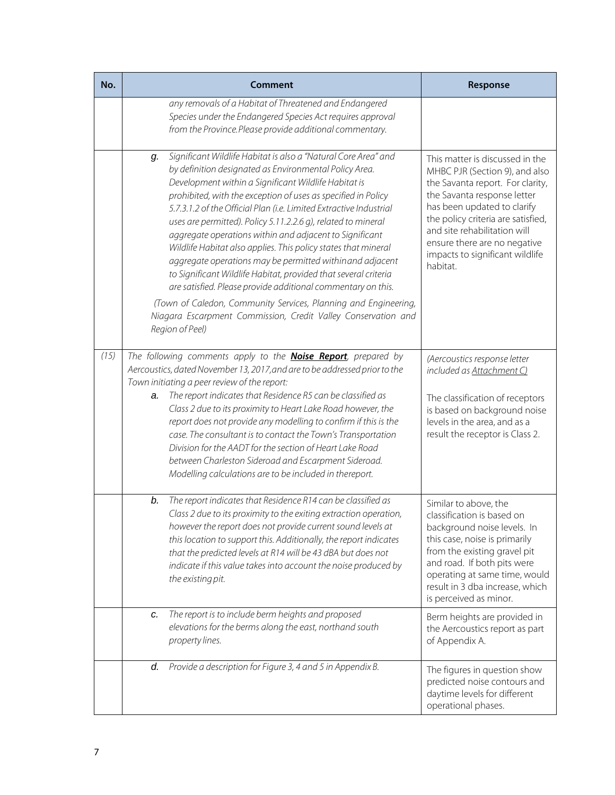| No.  | Comment                                                                                                                                                                                                                                                                                                                                                                                                                                                                                                                                                                                                                                                                                                                                                                                       | Response                                                                                                                                                                                                                                                                                                                 |
|------|-----------------------------------------------------------------------------------------------------------------------------------------------------------------------------------------------------------------------------------------------------------------------------------------------------------------------------------------------------------------------------------------------------------------------------------------------------------------------------------------------------------------------------------------------------------------------------------------------------------------------------------------------------------------------------------------------------------------------------------------------------------------------------------------------|--------------------------------------------------------------------------------------------------------------------------------------------------------------------------------------------------------------------------------------------------------------------------------------------------------------------------|
|      | any removals of a Habitat of Threatened and Endangered<br>Species under the Endangered Species Act requires approval<br>from the Province.Please provide additional commentary.                                                                                                                                                                                                                                                                                                                                                                                                                                                                                                                                                                                                               |                                                                                                                                                                                                                                                                                                                          |
|      | Significant Wildlife Habitat is also a "Natural Core Area" and<br>g.<br>by definition designated as Environmental Policy Area.<br>Development within a Significant Wildlife Habitat is<br>prohibited, with the exception of uses as specified in Policy<br>5.7.3.1.2 of the Official Plan (i.e. Limited Extractive Industrial<br>uses are permitted). Policy 5.11.2.2.6 g), related to mineral<br>aggregate operations within and adjacent to Significant<br>Wildlife Habitat also applies. This policy states that mineral<br>aggregate operations may be permitted withinand adjacent<br>to Significant Wildlife Habitat, provided that several criteria<br>are satisfied. Please provide additional commentary on this.<br>(Town of Caledon, Community Services, Planning and Engineering, | This matter is discussed in the<br>MHBC PJR (Section 9), and also<br>the Savanta report. For clarity,<br>the Savanta response letter<br>has been updated to clarify<br>the policy criteria are satisfied,<br>and site rehabilitation will<br>ensure there are no negative<br>impacts to significant wildlife<br>habitat. |
|      | Niagara Escarpment Commission, Credit Valley Conservation and<br>Region of Peel)                                                                                                                                                                                                                                                                                                                                                                                                                                                                                                                                                                                                                                                                                                              |                                                                                                                                                                                                                                                                                                                          |
| (15) | The following comments apply to the <b>Noise Report</b> , prepared by<br>Aercoustics, dated November 13, 2017, and are to be addressed prior to the<br>Town initiating a peer review of the report:<br>The report indicates that Residence R5 can be classified as<br>a.<br>Class 2 due to its proximity to Heart Lake Road however, the<br>report does not provide any modelling to confirm if this is the<br>case. The consultant is to contact the Town's Transportation<br>Division for the AADT for the section of Heart Lake Road<br>between Charleston Sideroad and Escarpment Sideroad.<br>Modelling calculations are to be included in thereport.                                                                                                                                    | (Aercoustics response letter<br>included as Attachment C)<br>The classification of receptors<br>is based on background noise<br>levels in the area, and as a<br>result the receptor is Class 2.                                                                                                                          |
|      | The report indicates that Residence R14 can be classified as<br>b.<br>Class 2 due to its proximity to the exiting extraction operation,<br>however the report does not provide current sound levels at<br>this location to support this. Additionally, the report indicates<br>that the predicted levels at R14 will be 43 dBA but does not<br>indicate if this value takes into account the noise produced by<br>the existing pit.                                                                                                                                                                                                                                                                                                                                                           | Similar to above, the<br>classification is based on<br>background noise levels. In<br>this case, noise is primarily<br>from the existing gravel pit<br>and road. If both pits were<br>operating at same time, would<br>result in 3 dba increase, which<br>is perceived as minor.                                         |
|      | The report is to include berm heights and proposed<br>c.<br>elevations for the berms along the east, northand south<br>property lines.                                                                                                                                                                                                                                                                                                                                                                                                                                                                                                                                                                                                                                                        | Berm heights are provided in<br>the Aercoustics report as part<br>of Appendix A.                                                                                                                                                                                                                                         |
|      | Provide a description for Figure 3, 4 and 5 in Appendix B.<br>d.                                                                                                                                                                                                                                                                                                                                                                                                                                                                                                                                                                                                                                                                                                                              | The figures in question show<br>predicted noise contours and<br>daytime levels for different<br>operational phases.                                                                                                                                                                                                      |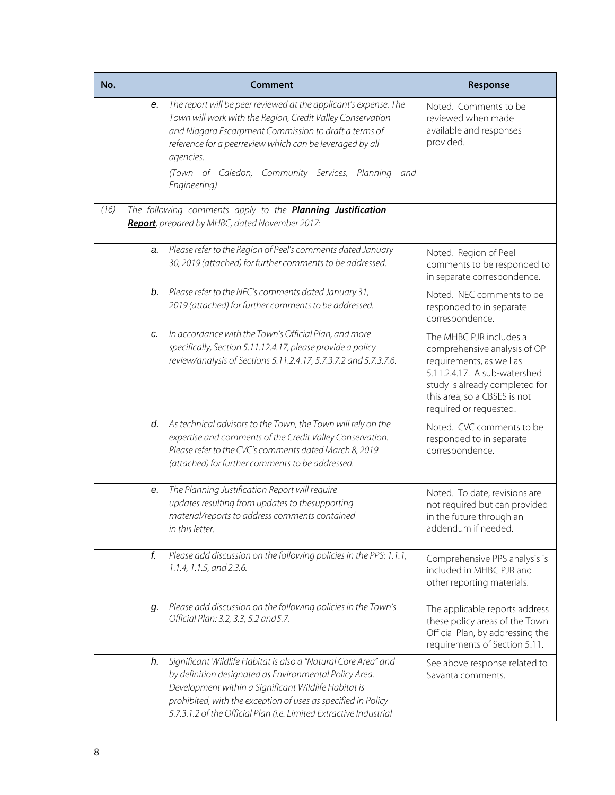| No.  |    | Comment                                                                                                                                                                                                                                                                                                                 | Response                                                                                                                                                                                                        |
|------|----|-------------------------------------------------------------------------------------------------------------------------------------------------------------------------------------------------------------------------------------------------------------------------------------------------------------------------|-----------------------------------------------------------------------------------------------------------------------------------------------------------------------------------------------------------------|
|      | е. | The report will be peer reviewed at the applicant's expense. The<br>Town will work with the Region, Credit Valley Conservation<br>and Niagara Escarpment Commission to draft a terms of<br>reference for a peerreview which can be leveraged by all<br>agencies.                                                        | Noted. Comments to be<br>reviewed when made<br>available and responses<br>provided.                                                                                                                             |
|      |    | (Town of Caledon, Community Services, Planning<br>and<br>Engineering)                                                                                                                                                                                                                                                   |                                                                                                                                                                                                                 |
| (16) |    | The following comments apply to the <b>Planning Justification</b><br>Report, prepared by MHBC, dated November 2017:                                                                                                                                                                                                     |                                                                                                                                                                                                                 |
|      | a. | Please refer to the Region of Peel's comments dated January<br>30, 2019 (attached) for further comments to be addressed.                                                                                                                                                                                                | Noted. Region of Peel<br>comments to be responded to<br>in separate correspondence.                                                                                                                             |
|      | b. | Please refer to the NEC's comments dated January 31,<br>2019 (attached) for further comments to be addressed.                                                                                                                                                                                                           | Noted. NEC comments to be<br>responded to in separate<br>correspondence.                                                                                                                                        |
|      | c. | In accordance with the Town's Official Plan, and more<br>specifically, Section 5.11.12.4.17, please provide a policy<br>review/analysis of Sections 5.11.2.4.17, 5.7.3.7.2 and 5.7.3.7.6.                                                                                                                               | The MHBC PJR includes a<br>comprehensive analysis of OP<br>requirements, as well as<br>5.11.2.4.17. A sub-watershed<br>study is already completed for<br>this area, so a CBSES is not<br>required or requested. |
|      | d. | As technical advisors to the Town, the Town will rely on the<br>expertise and comments of the Credit Valley Conservation.<br>Please refer to the CVC's comments dated March 8, 2019<br>(attached) for further comments to be addressed.                                                                                 | Noted. CVC comments to be<br>responded to in separate<br>correspondence.                                                                                                                                        |
|      | е. | The Planning Justification Report will require<br>updates resulting from updates to thesupporting<br>material/reports to address comments contained<br>in this letter.                                                                                                                                                  | Noted. To date, revisions are<br>not required but can provided<br>in the future through an<br>addendum if needed.                                                                                               |
|      | f. | Please add discussion on the following policies in the PPS: 1.1.1,<br>1.1.4, 1.1.5, and 2.3.6.                                                                                                                                                                                                                          | Comprehensive PPS analysis is<br>included in MHBC PJR and<br>other reporting materials.                                                                                                                         |
|      | q. | Please add discussion on the following policies in the Town's<br>Official Plan: 3.2, 3.3, 5.2 and 5.7.                                                                                                                                                                                                                  | The applicable reports address<br>these policy areas of the Town<br>Official Plan, by addressing the<br>requirements of Section 5.11.                                                                           |
|      | h. | Significant Wildlife Habitat is also a "Natural Core Area" and<br>by definition designated as Environmental Policy Area.<br>Development within a Significant Wildlife Habitat is<br>prohibited, with the exception of uses as specified in Policy<br>5.7.3.1.2 of the Official Plan (i.e. Limited Extractive Industrial | See above response related to<br>Savanta comments.                                                                                                                                                              |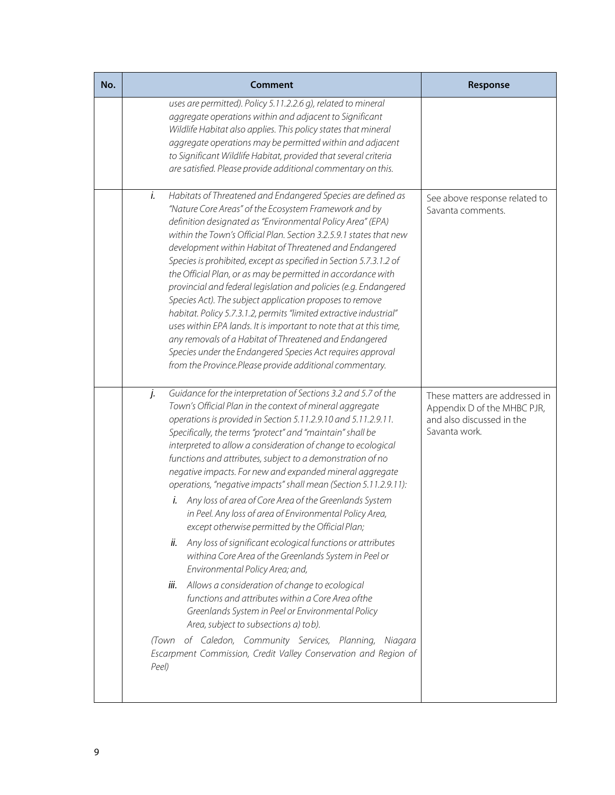| Comment                                                                                                                                                                                                                                                                                                                                                                                                                                                                                                                                                                                                                                                                                                                                                                                                                                                                                                                                                                                                                                                                                                                                                                                                                            | Response                                                                                                    |
|------------------------------------------------------------------------------------------------------------------------------------------------------------------------------------------------------------------------------------------------------------------------------------------------------------------------------------------------------------------------------------------------------------------------------------------------------------------------------------------------------------------------------------------------------------------------------------------------------------------------------------------------------------------------------------------------------------------------------------------------------------------------------------------------------------------------------------------------------------------------------------------------------------------------------------------------------------------------------------------------------------------------------------------------------------------------------------------------------------------------------------------------------------------------------------------------------------------------------------|-------------------------------------------------------------------------------------------------------------|
| uses are permitted). Policy 5.11.2.2.6 g), related to mineral<br>aggregate operations within and adjacent to Significant<br>Wildlife Habitat also applies. This policy states that mineral<br>aggregate operations may be permitted within and adjacent<br>to Significant Wildlife Habitat, provided that several criteria<br>are satisfied. Please provide additional commentary on this.                                                                                                                                                                                                                                                                                                                                                                                                                                                                                                                                                                                                                                                                                                                                                                                                                                         |                                                                                                             |
| i.<br>Habitats of Threatened and Endangered Species are defined as<br>"Nature Core Areas" of the Ecosystem Framework and by<br>definition designated as "Environmental Policy Area" (EPA)<br>within the Town's Official Plan. Section 3.2.5.9.1 states that new<br>development within Habitat of Threatened and Endangered<br>Species is prohibited, except as specified in Section 5.7.3.1.2 of<br>the Official Plan, or as may be permitted in accordance with<br>provincial and federal legislation and policies (e.g. Endangered<br>Species Act). The subject application proposes to remove<br>habitat. Policy 5.7.3.1.2, permits "limited extractive industrial"<br>uses within EPA lands. It is important to note that at this time,<br>any removals of a Habitat of Threatened and Endangered<br>Species under the Endangered Species Act requires approval<br>from the Province.Please provide additional commentary.                                                                                                                                                                                                                                                                                                     | See above response related to<br>Savanta comments.                                                          |
| j.<br>Guidance for the interpretation of Sections 3.2 and 5.7 of the<br>Town's Official Plan in the context of mineral aggregate<br>operations is provided in Section 5.11.2.9.10 and 5.11.2.9.11.<br>Specifically, the terms "protect" and "maintain" shall be<br>interpreted to allow a consideration of change to ecological<br>functions and attributes, subject to a demonstration of no<br>negative impacts. For new and expanded mineral aggregate<br>operations, "negative impacts" shall mean (Section 5.11.2.9.11):<br>Any loss of area of Core Area of the Greenlands System<br>in Peel. Any loss of area of Environmental Policy Area,<br>except otherwise permitted by the Official Plan;<br>Any loss of significant ecological functions or attributes<br>ii.<br>withina Core Area of the Greenlands System in Peel or<br>Environmental Policy Area; and,<br>Allows a consideration of change to ecological<br>iii.<br>functions and attributes within a Core Area of the<br>Greenlands System in Peel or Environmental Policy<br>Area, subject to subsections a) tob).<br>of Caledon, Community Services, Planning,<br>Niagara<br>(Town<br>Escarpment Commission, Credit Valley Conservation and Region of<br>Peel) | These matters are addressed in<br>Appendix D of the MHBC PJR,<br>and also discussed in the<br>Savanta work. |
|                                                                                                                                                                                                                                                                                                                                                                                                                                                                                                                                                                                                                                                                                                                                                                                                                                                                                                                                                                                                                                                                                                                                                                                                                                    |                                                                                                             |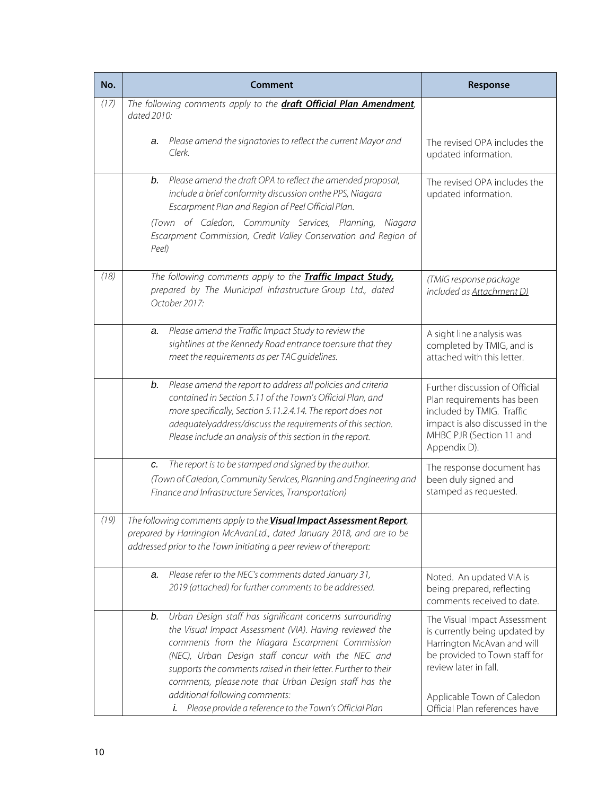| No.  | Comment                                                                                                                                                                                                                                                                                                                                                                                                                                                    | Response                                                                                                                                                                                                             |
|------|------------------------------------------------------------------------------------------------------------------------------------------------------------------------------------------------------------------------------------------------------------------------------------------------------------------------------------------------------------------------------------------------------------------------------------------------------------|----------------------------------------------------------------------------------------------------------------------------------------------------------------------------------------------------------------------|
| (17) | The following comments apply to the <b>draft Official Plan Amendment</b> ,                                                                                                                                                                                                                                                                                                                                                                                 |                                                                                                                                                                                                                      |
|      | dated 2010:                                                                                                                                                                                                                                                                                                                                                                                                                                                |                                                                                                                                                                                                                      |
|      | Please amend the signatories to reflect the current Mayor and<br>a.                                                                                                                                                                                                                                                                                                                                                                                        | The revised OPA includes the                                                                                                                                                                                         |
|      | Clerk.                                                                                                                                                                                                                                                                                                                                                                                                                                                     | updated information.                                                                                                                                                                                                 |
|      |                                                                                                                                                                                                                                                                                                                                                                                                                                                            |                                                                                                                                                                                                                      |
|      | Please amend the draft OPA to reflect the amended proposal,<br>b.<br>include a brief conformity discussion onthe PPS, Niagara<br>Escarpment Plan and Region of Peel Official Plan.                                                                                                                                                                                                                                                                         | The revised OPA includes the<br>updated information.                                                                                                                                                                 |
|      | (Town of Caledon, Community Services, Planning, Niagara<br>Escarpment Commission, Credit Valley Conservation and Region of<br>Peel)                                                                                                                                                                                                                                                                                                                        |                                                                                                                                                                                                                      |
| (18) | The following comments apply to the Traffic Impact Study.<br>prepared by The Municipal Infrastructure Group Ltd., dated<br>October 2017:                                                                                                                                                                                                                                                                                                                   | (TMIG response package<br>included as Attachment D)                                                                                                                                                                  |
|      | Please amend the Traffic Impact Study to review the<br>a.<br>sightlines at the Kennedy Road entrance toensure that they<br>meet the requirements as per TAC guidelines.                                                                                                                                                                                                                                                                                    | A sight line analysis was<br>completed by TMIG, and is<br>attached with this letter.                                                                                                                                 |
|      | Please amend the report to address all policies and criteria<br>b.<br>contained in Section 5.11 of the Town's Official Plan, and<br>more specifically, Section 5.11.2.4.14. The report does not<br>adequatelyaddress/discuss the requirements of this section.<br>Please include an analysis of this section in the report.                                                                                                                                | Further discussion of Official<br>Plan requirements has been<br>included by TMIG. Traffic<br>impact is also discussed in the<br>MHBC PJR (Section 11 and<br>Appendix D).                                             |
|      | The report is to be stamped and signed by the author.<br>c.<br>(Town of Caledon, Community Services, Planning and Engineering and<br>Finance and Infrastructure Services, Transportation)                                                                                                                                                                                                                                                                  | The response document has<br>been duly signed and<br>stamped as requested.                                                                                                                                           |
| (19) | The following comments apply to the <b>Visual Impact Assessment Report</b> ,                                                                                                                                                                                                                                                                                                                                                                               |                                                                                                                                                                                                                      |
|      | prepared by Harrington McAvanLtd., dated January 2018, and are to be<br>addressed prior to the Town initiating a peer review of thereport:                                                                                                                                                                                                                                                                                                                 |                                                                                                                                                                                                                      |
|      | Please refer to the NEC's comments dated January 31,<br>a.<br>2019 (attached) for further comments to be addressed.                                                                                                                                                                                                                                                                                                                                        | Noted. An updated VIA is<br>being prepared, reflecting<br>comments received to date.                                                                                                                                 |
|      | Urban Design staff has significant concerns surrounding<br>b.<br>the Visual Impact Assessment (VIA). Having reviewed the<br>comments from the Niagara Escarpment Commission<br>(NEC), Urban Design staff concur with the NEC and<br>supports the comments raised in their letter. Further to their<br>comments, please note that Urban Design staff has the<br>additional following comments:<br>i. Please provide a reference to the Town's Official Plan | The Visual Impact Assessment<br>is currently being updated by<br>Harrington McAvan and will<br>be provided to Town staff for<br>review later in fall.<br>Applicable Town of Caledon<br>Official Plan references have |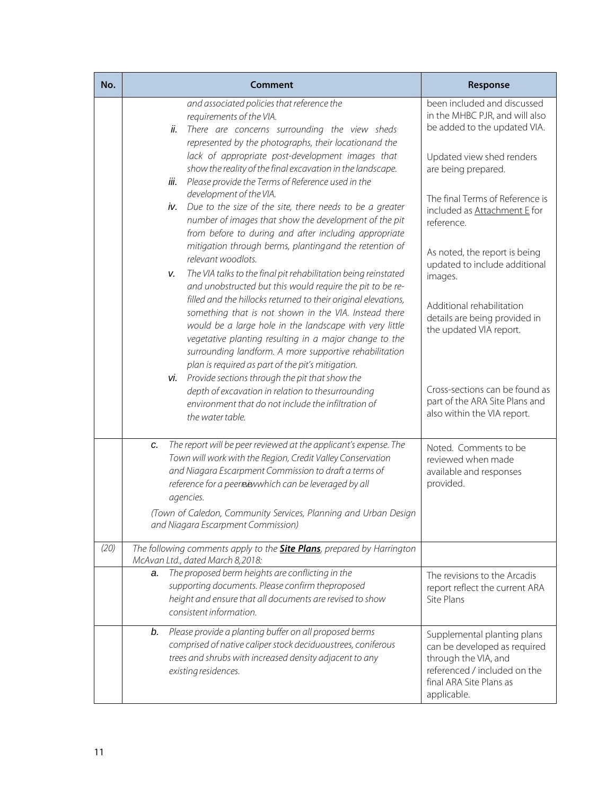| No.  | Comment                                                                                                                                                                                                                                                                                                                                                             | Response                                                                                                                                                      |
|------|---------------------------------------------------------------------------------------------------------------------------------------------------------------------------------------------------------------------------------------------------------------------------------------------------------------------------------------------------------------------|---------------------------------------------------------------------------------------------------------------------------------------------------------------|
|      | and associated policies that reference the<br>requirements of the VIA.<br>There are concerns surrounding the view sheds<br>ii.<br>represented by the photographs, their locationand the                                                                                                                                                                             | been included and discussed<br>in the MHBC PJR, and will also<br>be added to the updated VIA.                                                                 |
|      | lack of appropriate post-development images that<br>show the reality of the final excavation in the landscape.<br>Please provide the Terms of Reference used in the<br>iii.                                                                                                                                                                                         | Updated view shed renders<br>are being prepared.                                                                                                              |
|      | development of the VIA.<br>Due to the size of the site, there needs to be a greater<br>iv.<br>number of images that show the development of the pit<br>from before to during and after including appropriate                                                                                                                                                        | The final Terms of Reference is<br>included as Attachment E for<br>reference.                                                                                 |
|      | mitigation through berms, plantingand the retention of<br>relevant woodlots.<br>The VIA talks to the final pit rehabilitation being reinstated<br>v.                                                                                                                                                                                                                | As noted, the report is being<br>updated to include additional<br>images.                                                                                     |
|      | and unobstructed but this would require the pit to be re-<br>filled and the hillocks returned to their original elevations,<br>something that is not shown in the VIA. Instead there<br>would be a large hole in the landscape with very little<br>vegetative planting resulting in a major change to the<br>surrounding landform. A more supportive rehabilitation | Additional rehabilitation<br>details are being provided in<br>the updated VIA report.                                                                         |
|      | plan is required as part of the pit's mitigation.<br>vi. Provide sections through the pit that show the<br>depth of excavation in relation to thesurrounding<br>environment that do not include the infiltration of<br>the water table.                                                                                                                             | Cross-sections can be found as<br>part of the ARA Site Plans and<br>also within the VIA report.                                                               |
|      | The report will be peer reviewed at the applicant's expense. The<br>c.<br>Town will work with the Region, Credit Valley Conservation<br>and Niagara Escarpment Commission to draft a terms of<br>reference for a peermawwhich can be leveraged by all<br>agencies.                                                                                                  | Noted. Comments to be<br>reviewed when made<br>available and responses<br>provided.                                                                           |
|      | (Town of Caledon, Community Services, Planning and Urban Design<br>and Niagara Escarpment Commission)                                                                                                                                                                                                                                                               |                                                                                                                                                               |
| (20) | The following comments apply to the <b>Site Plans</b> , prepared by Harrington<br>McAvan Ltd., dated March 8,2018:                                                                                                                                                                                                                                                  |                                                                                                                                                               |
|      | The proposed berm heights are conflicting in the<br>a.<br>supporting documents. Please confirm theproposed<br>height and ensure that all documents are revised to show<br>consistent information.                                                                                                                                                                   | The revisions to the Arcadis<br>report reflect the current ARA<br>Site Plans                                                                                  |
|      | Please provide a planting buffer on all proposed berms<br>b.<br>comprised of native caliper stock deciduoustrees, coniferous<br>trees and shrubs with increased density adjacent to any<br>existing residences.                                                                                                                                                     | Supplemental planting plans<br>can be developed as required<br>through the VIA, and<br>referenced / included on the<br>final ARA Site Plans as<br>applicable. |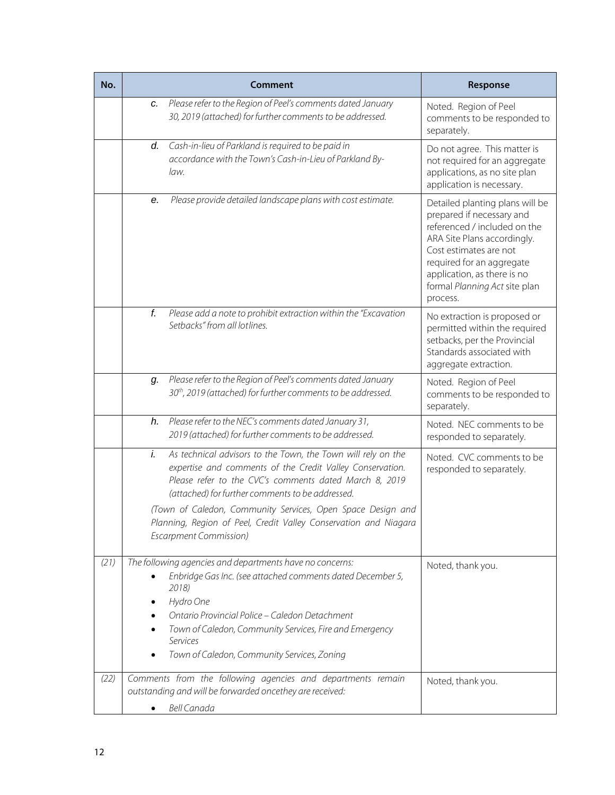| No.  |           | Comment                                                                                                                                                                                                                                                                                                                                                                                                     | Response                                                                                                                                                                                                                                                       |
|------|-----------|-------------------------------------------------------------------------------------------------------------------------------------------------------------------------------------------------------------------------------------------------------------------------------------------------------------------------------------------------------------------------------------------------------------|----------------------------------------------------------------------------------------------------------------------------------------------------------------------------------------------------------------------------------------------------------------|
|      | c.        | Please refer to the Region of Peel's comments dated January<br>30, 2019 (attached) for further comments to be addressed.                                                                                                                                                                                                                                                                                    | Noted. Region of Peel<br>comments to be responded to<br>separately.                                                                                                                                                                                            |
|      | d.        | Cash-in-lieu of Parkland is required to be paid in<br>accordance with the Town's Cash-in-Lieu of Parkland By-<br>law.                                                                                                                                                                                                                                                                                       | Do not agree. This matter is<br>not required for an aggregate<br>applications, as no site plan<br>application is necessary.                                                                                                                                    |
|      | е.        | Please provide detailed landscape plans with cost estimate.                                                                                                                                                                                                                                                                                                                                                 | Detailed planting plans will be<br>prepared if necessary and<br>referenced / included on the<br>ARA Site Plans accordingly.<br>Cost estimates are not<br>required for an aggregate<br>application, as there is no<br>formal Planning Act site plan<br>process. |
|      | f.        | Please add a note to prohibit extraction within the "Excavation<br>Setbacks" from all lotlines.                                                                                                                                                                                                                                                                                                             | No extraction is proposed or<br>permitted within the required<br>setbacks, per the Provincial<br>Standards associated with<br>aggregate extraction.                                                                                                            |
|      | q.        | Please refer to the Region of Peel's comments dated January<br>30 <sup>th</sup> , 2019 (attached) for further comments to be addressed.                                                                                                                                                                                                                                                                     | Noted. Region of Peel<br>comments to be responded to<br>separately.                                                                                                                                                                                            |
|      | h.        | Please refer to the NEC's comments dated January 31,<br>2019 (attached) for further comments to be addressed.                                                                                                                                                                                                                                                                                               | Noted. NEC comments to be<br>responded to separately.                                                                                                                                                                                                          |
|      | i.        | As technical advisors to the Town, the Town will rely on the<br>expertise and comments of the Credit Valley Conservation.<br>Please refer to the CVC's comments dated March 8, 2019<br>(attached) for further comments to be addressed.<br>(Town of Caledon, Community Services, Open Space Design and<br>Planning, Region of Peel, Credit Valley Conservation and Niagara<br><b>Escarpment Commission)</b> | Noted. CVC comments to be<br>responded to separately.                                                                                                                                                                                                          |
| (21) |           | The following agencies and departments have no concerns:<br>Enbridge Gas Inc. (see attached comments dated December 5,<br>2018)<br>Hydro One<br>Ontario Provincial Police - Caledon Detachment<br>Town of Caledon, Community Services, Fire and Emergency<br>Services<br>Town of Caledon, Community Services, Zoning                                                                                        | Noted, thank you.                                                                                                                                                                                                                                              |
| (22) | $\bullet$ | Comments from the following agencies and departments remain<br>outstanding and will be forwarded oncethey are received:<br><b>Bell Canada</b>                                                                                                                                                                                                                                                               | Noted, thank you.                                                                                                                                                                                                                                              |